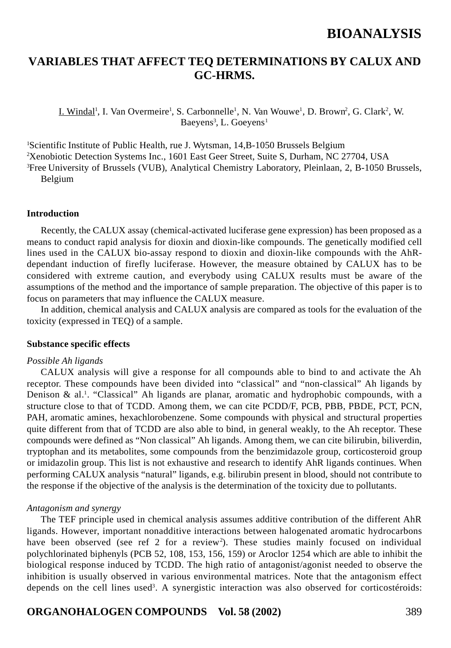## **VARIABLES THAT AFFECT TEQ DETERMINATIONS BY CALUX AND GC-HRMS.**

I. Windal<sup>1</sup>, I. Van Overmeire<sup>1</sup>, S. Carbonnelle<sup>1</sup>, N. Van Wouwe<sup>1</sup>, D. Brown<sup>2</sup>, G. Clark<sup>2</sup>, W. Baeyens<sup>3</sup>, L. Goeyens<sup>1</sup>

<sup>1</sup>Scientific Institute of Public Health, rue J. Wytsman, 14,B-1050 Brussels Belgium 2 Xenobiotic Detection Systems Inc., 1601 East Geer Street, Suite S, Durham, NC 27704, USA 3 Free University of Brussels (VUB), Analytical Chemistry Laboratory, Pleinlaan, 2, B-1050 Brussels, Belgium

### **Introduction**

Recently, the CALUX assay (chemical-activated luciferase gene expression) has been proposed as a means to conduct rapid analysis for dioxin and dioxin-like compounds. The genetically modified cell lines used in the CALUX bio-assay respond to dioxin and dioxin-like compounds with the AhRdependant induction of firefly luciferase. However, the measure obtained by CALUX has to be considered with extreme caution, and everybody using CALUX results must be aware of the assumptions of the method and the importance of sample preparation. The objective of this paper is to focus on parameters that may influence the CALUX measure.

In addition, chemical analysis and CALUX analysis are compared as tools for the evaluation of the toxicity (expressed in TEQ) of a sample.

#### **Substance specific effects**

#### *Possible Ah ligands*

CALUX analysis will give a response for all compounds able to bind to and activate the Ah receptor. These compounds have been divided into "classical" and "non-classical" Ah ligands by Denison  $\&$  al.<sup>1</sup>. "Classical" Ah ligands are planar, aromatic and hydrophobic compounds, with a structure close to that of TCDD. Among them, we can cite PCDD/F, PCB, PBB, PBDE, PCT, PCN, PAH, aromatic amines, hexachlorobenzene. Some compounds with physical and structural properties quite different from that of TCDD are also able to bind, in general weakly, to the Ah receptor. These compounds were defined as "Non classical" Ah ligands. Among them, we can cite bilirubin, biliverdin, tryptophan and its metabolites, some compounds from the benzimidazole group, corticosteroid group or imidazolin group. This list is not exhaustive and research to identify AhR ligands continues. When performing CALUX analysis "natural" ligands, e.g. bilirubin present in blood, should not contribute to the response if the objective of the analysis is the determination of the toxicity due to pollutants.

#### *Antagonism and synergy*

The TEF principle used in chemical analysis assumes additive contribution of the different AhR ligands. However, important nonadditive interactions between halogenated aromatic hydrocarbons have been observed (see ref 2 for a review<sup>2</sup>). These studies mainly focused on individual polychlorinated biphenyls (PCB 52, 108, 153, 156, 159) or Aroclor 1254 which are able to inhibit the biological response induced by TCDD. The high ratio of antagonist/agonist needed to observe the inhibition is usually observed in various environmental matrices. Note that the antagonism effect depends on the cell lines used<sup>3</sup>. A synergistic interaction was also observed for corticostéroids:

### **ORGANOHALOGEN COMPOUNDS Vol. 58 (2002)** 389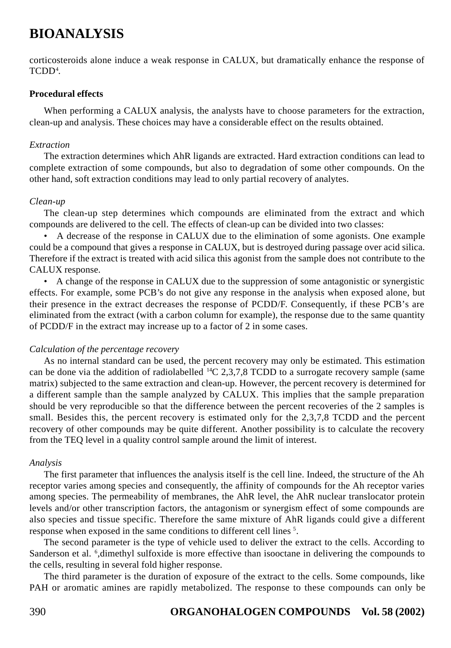corticosteroids alone induce a weak response in CALUX, but dramatically enhance the response of TCDD4 .

#### **Procedural effects**

When performing a CALUX analysis, the analysts have to choose parameters for the extraction, clean-up and analysis. These choices may have a considerable effect on the results obtained.

#### *Extraction*

The extraction determines which AhR ligands are extracted. Hard extraction conditions can lead to complete extraction of some compounds, but also to degradation of some other compounds. On the other hand, soft extraction conditions may lead to only partial recovery of analytes.

### *Clean-up*

The clean-up step determines which compounds are eliminated from the extract and which compounds are delivered to the cell. The effects of clean-up can be divided into two classes:

• A decrease of the response in CALUX due to the elimination of some agonists. One example could be a compound that gives a response in CALUX, but is destroyed during passage over acid silica. Therefore if the extract is treated with acid silica this agonist from the sample does not contribute to the CALUX response.

• A change of the response in CALUX due to the suppression of some antagonistic or synergistic effects. For example, some PCB's do not give any response in the analysis when exposed alone, but their presence in the extract decreases the response of PCDD/F. Consequently, if these PCB's are eliminated from the extract (with a carbon column for example), the response due to the same quantity of PCDD/F in the extract may increase up to a factor of 2 in some cases.

### *Calculation of the percentage recovery*

As no internal standard can be used, the percent recovery may only be estimated. This estimation can be done via the addition of radiolabelled  ${}^{14}C$  2,3,7,8 TCDD to a surrogate recovery sample (same matrix) subjected to the same extraction and clean-up. However, the percent recovery is determined for a different sample than the sample analyzed by CALUX. This implies that the sample preparation should be very reproducible so that the difference between the percent recoveries of the 2 samples is small. Besides this, the percent recovery is estimated only for the 2,3,7,8 TCDD and the percent recovery of other compounds may be quite different. Another possibility is to calculate the recovery from the TEQ level in a quality control sample around the limit of interest.

### *Analysis*

The first parameter that influences the analysis itself is the cell line. Indeed, the structure of the Ah receptor varies among species and consequently, the affinity of compounds for the Ah receptor varies among species. The permeability of membranes, the AhR level, the AhR nuclear translocator protein levels and/or other transcription factors, the antagonism or synergism effect of some compounds are also species and tissue specific. Therefore the same mixture of AhR ligands could give a different response when exposed in the same conditions to different cell lines<sup>5</sup>.

The second parameter is the type of vehicle used to deliver the extract to the cells. According to Sanderson et al. <sup>6</sup>,dimethyl sulfoxide is more effective than isooctane in delivering the compounds to the cells, resulting in several fold higher response.

The third parameter is the duration of exposure of the extract to the cells. Some compounds, like PAH or aromatic amines are rapidly metabolized. The response to these compounds can only be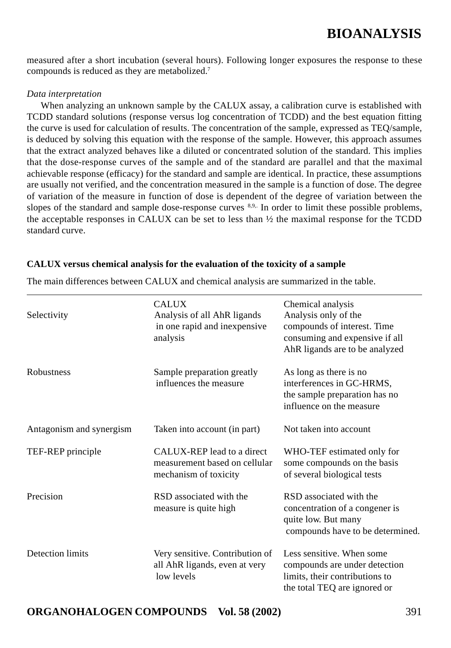measured after a short incubation (several hours). Following longer exposures the response to these compounds is reduced as they are metabolized.7

#### *Data interpretation*

When analyzing an unknown sample by the CALUX assay, a calibration curve is established with TCDD standard solutions (response versus log concentration of TCDD) and the best equation fitting the curve is used for calculation of results. The concentration of the sample, expressed as TEQ/sample, is deduced by solving this equation with the response of the sample. However, this approach assumes that the extract analyzed behaves like a diluted or concentrated solution of the standard. This implies that the dose-response curves of the sample and of the standard are parallel and that the maximal achievable response (efficacy) for the standard and sample are identical. In practice, these assumptions are usually not verified, and the concentration measured in the sample is a function of dose. The degree of variation of the measure in function of dose is dependent of the degree of variation between the slopes of the standard and sample dose-response curves 8,9,. In order to limit these possible problems, the acceptable responses in CALUX can be set to less than  $\frac{1}{2}$  the maximal response for the TCDD standard curve.

#### **CALUX versus chemical analysis for the evaluation of the toxicity of a sample**

| Selectivity              | <b>CALUX</b><br>Analysis of all AhR ligands<br>in one rapid and inexpensive<br>analysis | Chemical analysis<br>Analysis only of the<br>compounds of interest. Time<br>consuming and expensive if all<br>AhR ligands are to be analyzed |
|--------------------------|-----------------------------------------------------------------------------------------|----------------------------------------------------------------------------------------------------------------------------------------------|
| <b>Robustness</b>        | Sample preparation greatly<br>influences the measure                                    | As long as there is no<br>interferences in GC-HRMS,<br>the sample preparation has no<br>influence on the measure                             |
| Antagonism and synergism | Taken into account (in part)                                                            | Not taken into account                                                                                                                       |
| TEF-REP principle        | CALUX-REP lead to a direct<br>measurement based on cellular<br>mechanism of toxicity    | WHO-TEF estimated only for<br>some compounds on the basis<br>of several biological tests                                                     |
| Precision                | RSD associated with the<br>measure is quite high                                        | RSD associated with the<br>concentration of a congener is<br>quite low. But many<br>compounds have to be determined.                         |
| Detection limits         | Very sensitive. Contribution of<br>all AhR ligands, even at very<br>low levels          | Less sensitive. When some<br>compounds are under detection<br>limits, their contributions to<br>the total TEQ are ignored or                 |

The main differences between CALUX and chemical analysis are summarized in the table.

### **ORGANOHALOGEN COMPOUNDS Vol. 58 (2002)** 391